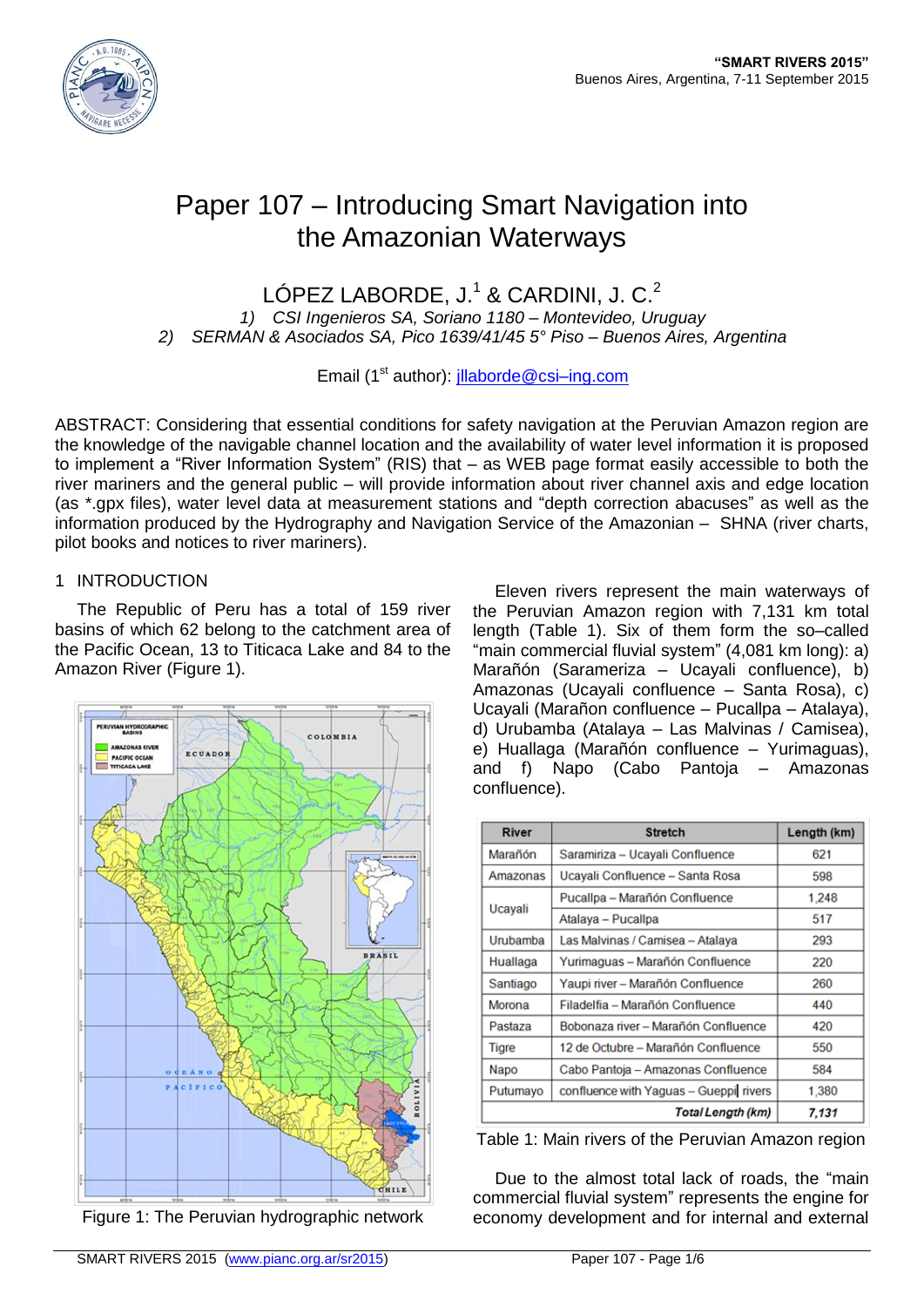

# Paper 107 – Introducing Smart Navigation into the Amazonian Waterways

LÓPEZ LABORDE, J.<sup>1</sup> & CARDINI, J. C.<sup>2</sup>

*1) CSI Ingenieros SA, Soriano 1180 – Montevideo, Uruguay 2) SERMAN & Asociados SA, Pico 1639/41/45 5° Piso – Buenos Aires, Argentina*

Email (1<sup>st</sup> author): *illaborde@csi-ing.com* 

ABSTRACT: Considering that essential conditions for safety navigation at the Peruvian Amazon region are the knowledge of the navigable channel location and the availability of water level information it is proposed to implement a "River Information System" (RIS) that – as WEB page format easily accessible to both the river mariners and the general public – will provide information about river channel axis and edge location (as \*.gpx files), water level data at measurement stations and "depth correction abacuses" as well as the information produced by the Hydrography and Navigation Service of the Amazonian – SHNA (river charts, pilot books and notices to river mariners).

## 1 INTRODUCTION

The Republic of Peru has a total of 159 river basins of which 62 belong to the catchment area of the Pacific Ocean, 13 to Titicaca Lake and 84 to the Amazon River (Figure 1).



Figure 1: The Peruvian hydrographic network

Eleven rivers represent the main waterways of the Peruvian Amazon region with 7,131 km total length (Table 1). Six of them form the so–called "main commercial fluvial system" (4,081 km long): a) Marañón (Sarameriza – Ucavali confluence). b) Amazonas (Ucayali confluence – Santa Rosa), c) Ucayali (Marañon confluence – Pucallpa – Atalaya), d) Urubamba (Atalaya – Las Malvinas / Camisea), e) Huallaga (Marañón confluence – Yurimaguas), and f) Napo (Cabo Pantoja – Amazonas confluence).

| <b>River</b>             | <b>Stretch</b>                         | Length (km) |
|--------------------------|----------------------------------------|-------------|
| Marañón                  | Saramiriza - Ucayali Confluence        | 621         |
| Amazonas                 | Ucayali Confluence - Santa Rosa        | 598         |
| Ucayali                  | Pucallpa - Marañón Confluence          | 1,248       |
|                          | Atalaya - Pucallpa                     | 517         |
| Urubamba                 | Las Malvinas / Camisea - Atalaya       | 293         |
| Huallaga                 | Yurimaguas – Marañón Confluence        | 220         |
| Santiago                 | Yaupi river – Marañón Confluence       | 260         |
| Morona                   | Filadelfia - Marañón Confluence        | 440         |
| Pastaza                  | Bobonaza river - Marañón Confluence    | 420         |
| Tigre                    | 12 de Octubre – Marañón Confluence     | 550         |
| Napo                     | Cabo Pantoja - Amazonas Confluence     | 584         |
| Putumayo                 | confluence with Yaguas - Gueppi rivers | 1,380       |
| <b>Total Length (km)</b> |                                        | 7.131       |

Table 1: Main rivers of the Peruvian Amazon region

Due to the almost total lack of roads, the "main commercial fluvial system" represents the engine for economy development and for internal and external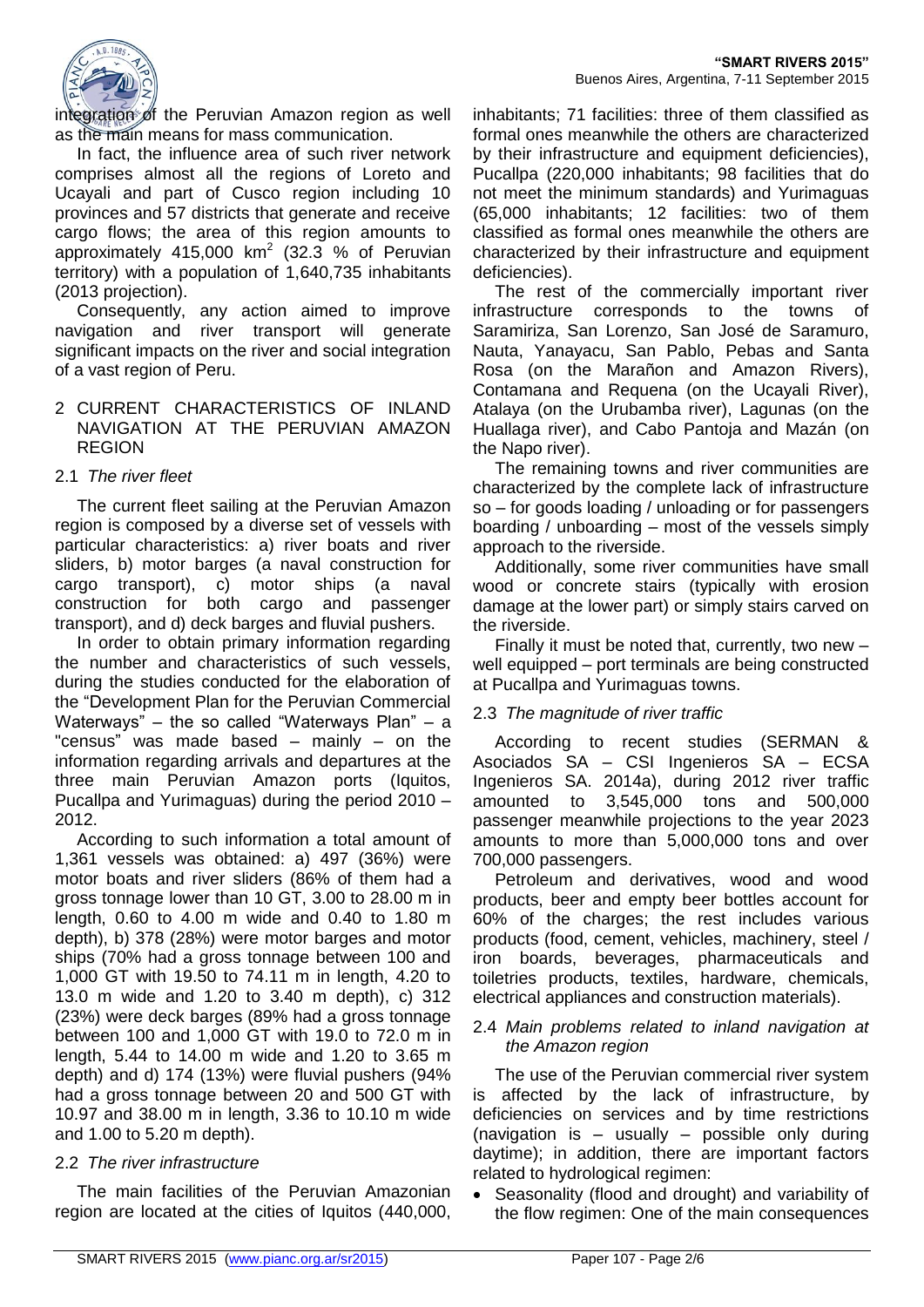

integration of the Peruvian Amazon region as well as the main means for mass communication.

In fact, the influence area of such river network comprises almost all the regions of Loreto and Ucayali and part of Cusco region including 10 provinces and 57 districts that generate and receive cargo flows; the area of this region amounts to approximately 415,000 km<sup>2</sup> (32.3 % of Peruvian territory) with a population of 1,640,735 inhabitants (2013 projection).

Consequently, any action aimed to improve navigation and river transport will generate significant impacts on the river and social integration of a vast region of Peru.

#### 2 CURRENT CHARACTERISTICS OF INLAND NAVIGATION AT THE PERUVIAN AMAZON REGION

## 2.1 *The river fleet*

The current fleet sailing at the Peruvian Amazon region is composed by a diverse set of vessels with particular characteristics: a) river boats and river sliders, b) motor barges (a naval construction for cargo transport), c) motor ships (a naval construction for both cargo and passenger transport), and d) deck barges and fluvial pushers.

In order to obtain primary information regarding the number and characteristics of such vessels, during the studies conducted for the elaboration of the "Development Plan for the Peruvian Commercial Waterways" – the so called "Waterways Plan" – a "census" was made based  $-$  mainly  $-$  on the information regarding arrivals and departures at the three main Peruvian Amazon ports (Iquitos, Pucallpa and Yurimaguas) during the period 2010 – 2012.

According to such information a total amount of 1,361 vessels was obtained: a) 497 (36%) were motor boats and river sliders (86% of them had a gross tonnage lower than 10 GT, 3.00 to 28.00 m in length, 0.60 to 4.00 m wide and 0.40 to 1.80 m depth), b) 378 (28%) were motor barges and motor ships (70% had a gross tonnage between 100 and 1,000 GT with 19.50 to 74.11 m in length, 4.20 to 13.0 m wide and 1.20 to 3.40 m depth), c) 312 (23%) were deck barges (89% had a gross tonnage between 100 and 1,000 GT with 19.0 to 72.0 m in length, 5.44 to 14.00 m wide and 1.20 to 3.65 m depth) and d) 174 (13%) were fluvial pushers (94% had a gross tonnage between 20 and 500 GT with 10.97 and 38.00 m in length, 3.36 to 10.10 m wide and 1.00 to 5.20 m depth).

# 2.2 *The river infrastructure*

The main facilities of the Peruvian Amazonian region are located at the cities of Iquitos (440,000, inhabitants; 71 facilities: three of them classified as formal ones meanwhile the others are characterized by their infrastructure and equipment deficiencies), Pucallpa (220,000 inhabitants; 98 facilities that do not meet the minimum standards) and Yurimaguas (65,000 inhabitants; 12 facilities: two of them classified as formal ones meanwhile the others are characterized by their infrastructure and equipment deficiencies).

The rest of the commercially important river infrastructure corresponds to the towns of Saramiriza, San Lorenzo, San José de Saramuro, Nauta, Yanayacu, San Pablo, Pebas and Santa Rosa (on the Marañon and Amazon Rivers), Contamana and Requena (on the Ucayali River), Atalaya (on the Urubamba river), Lagunas (on the Huallaga river), and Cabo Pantoja and Mazán (on the Napo river).

The remaining towns and river communities are characterized by the complete lack of infrastructure so – for goods loading / unloading or for passengers boarding / unboarding – most of the vessels simply approach to the riverside.

Additionally, some river communities have small wood or concrete stairs (typically with erosion damage at the lower part) or simply stairs carved on the riverside.

Finally it must be noted that, currently, two new – well equipped – port terminals are being constructed at Pucallpa and Yurimaguas towns.

# 2.3 *The magnitude of river traffic*

According to recent studies (SERMAN & Asociados SA – CSI Ingenieros SA – ECSA Ingenieros SA. 2014a), during 2012 river traffic amounted to 3,545,000 tons and 500,000 passenger meanwhile projections to the year 2023 amounts to more than 5,000,000 tons and over 700,000 passengers.

Petroleum and derivatives, wood and wood products, beer and empty beer bottles account for 60% of the charges; the rest includes various products (food, cement, vehicles, machinery, steel / iron boards, beverages, pharmaceuticals and toiletries products, textiles, hardware, chemicals, electrical appliances and construction materials).

#### 2.4 *Main problems related to inland navigation at the Amazon region*

The use of the Peruvian commercial river system is affected by the lack of infrastructure, by deficiencies on services and by time restrictions (navigation is – usually – possible only during daytime); in addition, there are important factors related to hydrological regimen:

 Seasonality (flood and drought) and variability of the flow regimen: One of the main consequences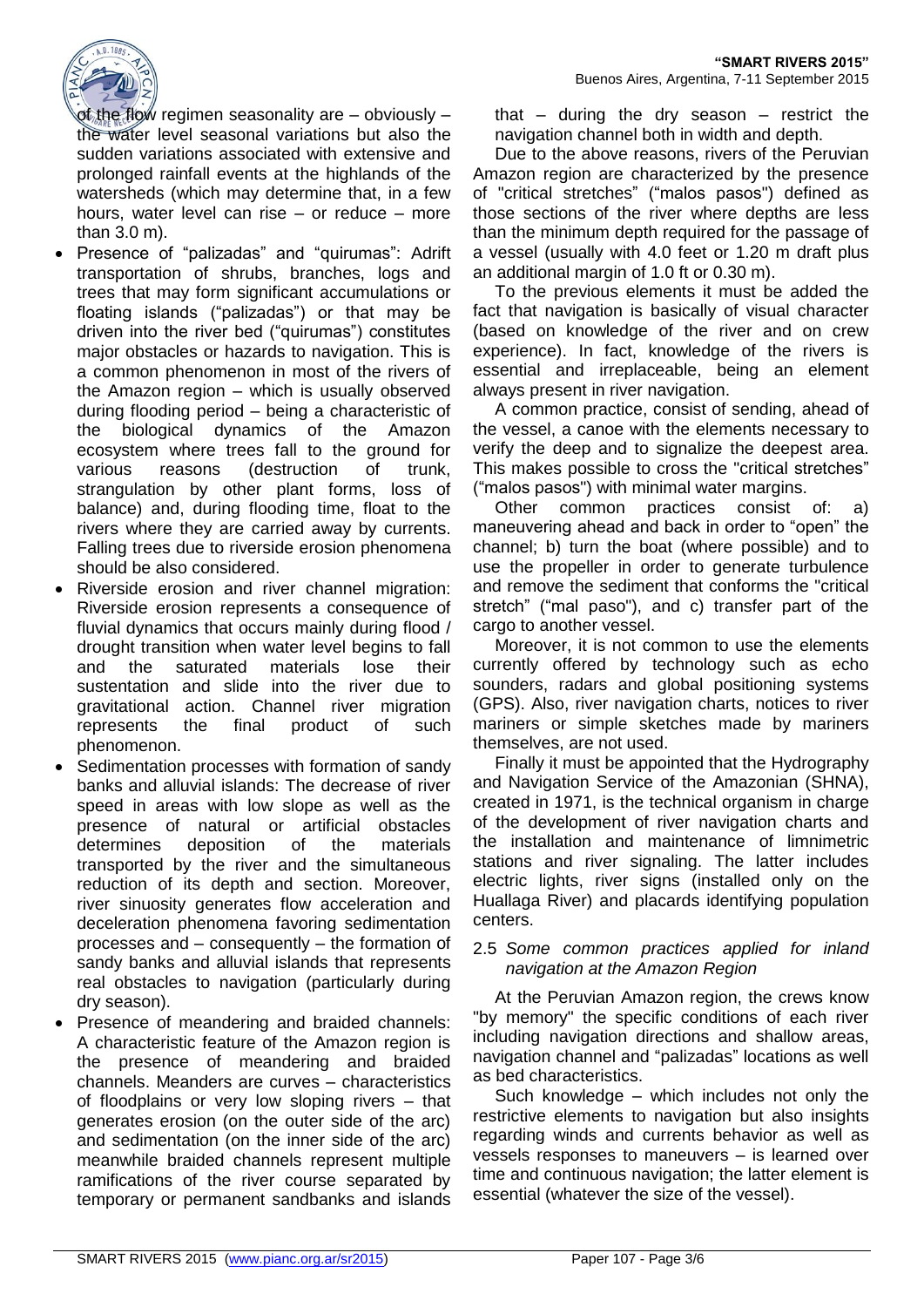

of the flow regimen seasonality are – obviously – the water level seasonal variations but also the sudden variations associated with extensive and prolonged rainfall events at the highlands of the watersheds (which may determine that, in a few hours, water level can rise – or reduce – more than 3.0 m).

- Presence of "palizadas" and "quirumas": Adrift transportation of shrubs, branches, logs and trees that may form significant accumulations or floating islands ("palizadas") or that may be driven into the river bed ("quirumas") constitutes major obstacles or hazards to navigation. This is a common phenomenon in most of the rivers of the Amazon region – which is usually observed during flooding period – being a characteristic of the biological dynamics of the Amazon ecosystem where trees fall to the ground for various reasons (destruction of trunk, strangulation by other plant forms, loss of balance) and, during flooding time, float to the rivers where they are carried away by currents. Falling trees due to riverside erosion phenomena should be also considered.
- Riverside erosion and river channel migration: Riverside erosion represents a consequence of fluvial dynamics that occurs mainly during flood / drought transition when water level begins to fall and the saturated materials lose their sustentation and slide into the river due to gravitational action. Channel river migration represents the final product of such phenomenon.
- Sedimentation processes with formation of sandy banks and alluvial islands: The decrease of river speed in areas with low slope as well as the presence of natural or artificial obstacles determines deposition of the materials transported by the river and the simultaneous reduction of its depth and section. Moreover, river sinuosity generates flow acceleration and deceleration phenomena favoring sedimentation processes and – consequently – the formation of sandy banks and alluvial islands that represents real obstacles to navigation (particularly during dry season).
- Presence of meandering and braided channels: A characteristic feature of the Amazon region is the presence of meandering and braided channels. Meanders are curves – characteristics of floodplains or very low sloping rivers – that generates erosion (on the outer side of the arc) and sedimentation (on the inner side of the arc) meanwhile braided channels represent multiple ramifications of the river course separated by temporary or permanent sandbanks and islands

that  $-$  during the dry season  $-$  restrict the navigation channel both in width and depth.

Due to the above reasons, rivers of the Peruvian Amazon region are characterized by the presence of "critical stretches" ("malos pasos") defined as those sections of the river where depths are less than the minimum depth required for the passage of a vessel (usually with 4.0 feet or 1.20 m draft plus an additional margin of 1.0 ft or 0.30 m).

To the previous elements it must be added the fact that navigation is basically of visual character (based on knowledge of the river and on crew experience). In fact, knowledge of the rivers is essential and irreplaceable, being an element always present in river navigation.

A common practice, consist of sending, ahead of the vessel, a canoe with the elements necessary to verify the deep and to signalize the deepest area. This makes possible to cross the "critical stretches" ("malos pasos") with minimal water margins.

Other common practices consist of: a) maneuvering ahead and back in order to "open" the channel; b) turn the boat (where possible) and to use the propeller in order to generate turbulence and remove the sediment that conforms the "critical stretch" ("mal paso"), and c) transfer part of the cargo to another vessel.

Moreover, it is not common to use the elements currently offered by technology such as echo sounders, radars and global positioning systems (GPS). Also, river navigation charts, notices to river mariners or simple sketches made by mariners themselves, are not used.

Finally it must be appointed that the Hydrography and Navigation Service of the Amazonian (SHNA), created in 1971, is the technical organism in charge of the development of river navigation charts and the installation and maintenance of limnimetric stations and river signaling. The latter includes electric lights, river signs (installed only on the Huallaga River) and placards identifying population centers.

## 2.5 *Some common practices applied for inland navigation at the Amazon Region*

At the Peruvian Amazon region, the crews know "by memory" the specific conditions of each river including navigation directions and shallow areas, navigation channel and "palizadas" locations as well as bed characteristics.

Such knowledge – which includes not only the restrictive elements to navigation but also insights regarding winds and currents behavior as well as vessels responses to maneuvers – is learned over time and continuous navigation; the latter element is essential (whatever the size of the vessel).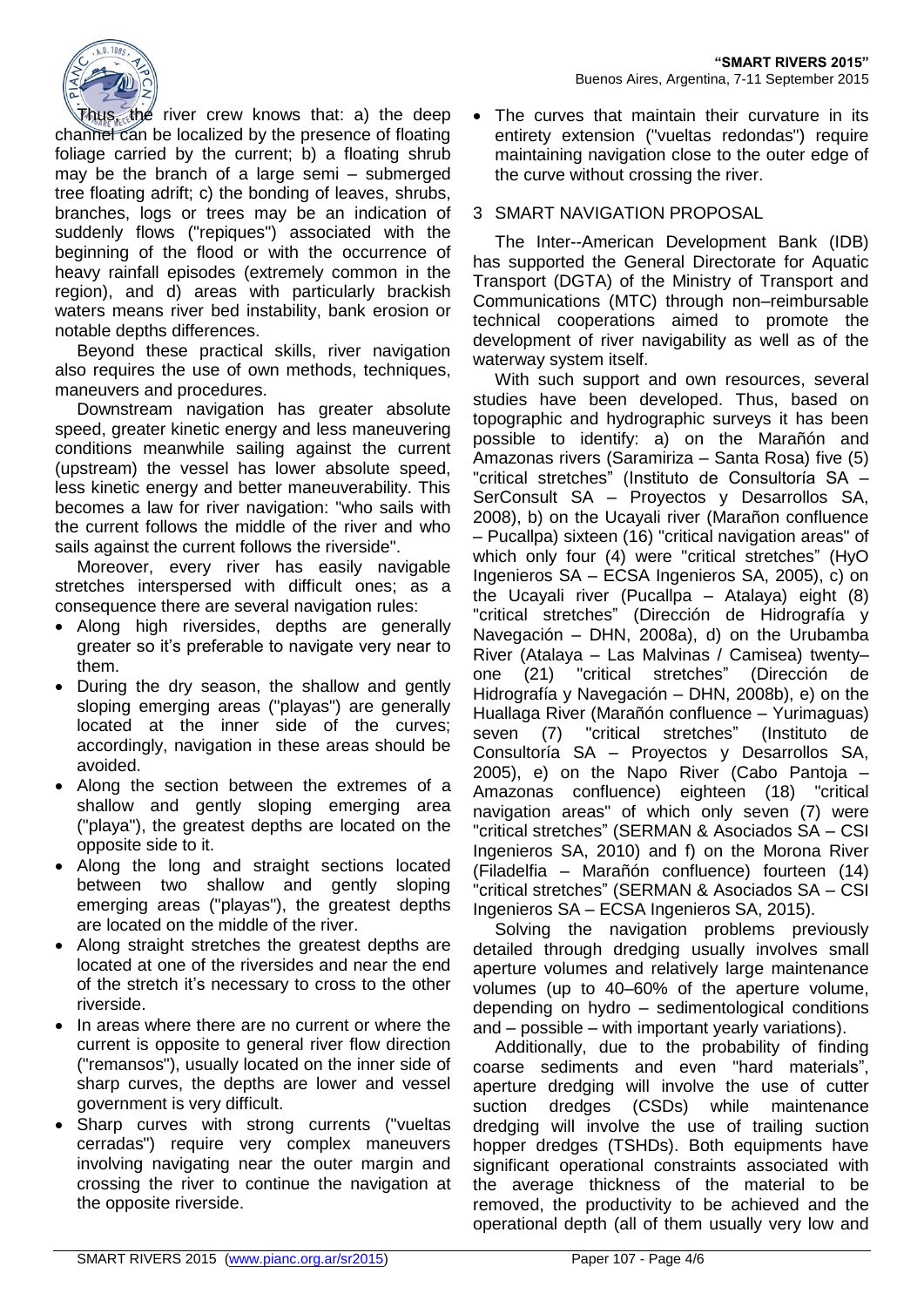

Thus, the river crew knows that: a) the deep channel can be localized by the presence of floating foliage carried by the current; b) a floating shrub may be the branch of a large semi – submerged tree floating adrift; c) the bonding of leaves, shrubs, branches, logs or trees may be an indication of suddenly flows ("repiques") associated with the beginning of the flood or with the occurrence of heavy rainfall episodes (extremely common in the region), and d) areas with particularly brackish waters means river bed instability, bank erosion or notable depths differences.

Beyond these practical skills, river navigation also requires the use of own methods, techniques, maneuvers and procedures.

Downstream navigation has greater absolute speed, greater kinetic energy and less maneuvering conditions meanwhile sailing against the current (upstream) the vessel has lower absolute speed, less kinetic energy and better maneuverability. This becomes a law for river navigation: "who sails with the current follows the middle of the river and who sails against the current follows the riverside".

Moreover, every river has easily navigable stretches interspersed with difficult ones; as a consequence there are several navigation rules:

- Along high riversides, depths are generally greater so it's preferable to navigate very near to them.
- During the dry season, the shallow and gently sloping emerging areas ("playas") are generally located at the inner side of the curves; accordingly, navigation in these areas should be avoided.
- Along the section between the extremes of a shallow and gently sloping emerging area ("playa"), the greatest depths are located on the opposite side to it.
- Along the long and straight sections located between two shallow and gently sloping emerging areas ("playas"), the greatest depths are located on the middle of the river.
- Along straight stretches the greatest depths are located at one of the riversides and near the end of the stretch it's necessary to cross to the other riverside.
- In areas where there are no current or where the current is opposite to general river flow direction ("remansos"), usually located on the inner side of sharp curves, the depths are lower and vessel government is very difficult.
- Sharp curves with strong currents ("vueltas cerradas") require very complex maneuvers involving navigating near the outer margin and crossing the river to continue the navigation at the opposite riverside.

 The curves that maintain their curvature in its entirety extension ("vueltas redondas") require maintaining navigation close to the outer edge of the curve without crossing the river.

# 3 SMART NAVIGATION PROPOSAL

The Inter--American Development Bank (IDB) has supported the General Directorate for Aquatic Transport (DGTA) of the Ministry of Transport and Communications (MTC) through non–reimbursable technical cooperations aimed to promote the development of river navigability as well as of the waterway system itself.

With such support and own resources, several studies have been developed. Thus, based on topographic and hydrographic surveys it has been possible to identify: a) on the Marañón and Amazonas rivers (Saramiriza – Santa Rosa) five (5) "critical stretches" (Instituto de Consultoría SA – SerConsult SA – Proyectos y Desarrollos SA, 2008), b) on the Ucayali river (Marañon confluence – Pucallpa) sixteen (16) "critical navigation areas" of which only four (4) were "critical stretches" (HyO Ingenieros SA – ECSA Ingenieros SA, 2005), c) on the Ucayali river (Pucallpa – Atalaya) eight (8) "critical stretches" (Dirección de Hidrografía y Navegación – DHN, 2008a), d) on the Urubamba River (Atalaya – Las Malvinas / Camisea) twenty– one (21) "critical stretches" (Dirección de Hidrografía y Navegación – DHN, 2008b), e) on the Huallaga River (Marañón confluence – Yurimaguas) seven (7) "critical stretches" (Instituto de Consultoría SA – Proyectos y Desarrollos SA, 2005), e) on the Napo River (Cabo Pantoja – Amazonas confluence) eighteen (18) "critical navigation areas" of which only seven (7) were "critical stretches" (SERMAN & Asociados SA – CSI Ingenieros SA, 2010) and f) on the Morona River (Filadelfia – Marañón confluence) fourteen (14) "critical stretches" (SERMAN & Asociados SA – CSI Ingenieros SA – ECSA Ingenieros SA, 2015).

Solving the navigation problems previously detailed through dredging usually involves small aperture volumes and relatively large maintenance volumes (up to 40–60% of the aperture volume, depending on hydro – sedimentological conditions and – possible – with important yearly variations).

Additionally, due to the probability of finding coarse sediments and even "hard materials", aperture dredging will involve the use of cutter suction dredges (CSDs) while maintenance dredging will involve the use of trailing suction hopper dredges (TSHDs). Both equipments have significant operational constraints associated with the average thickness of the material to be removed, the productivity to be achieved and the operational depth (all of them usually very low and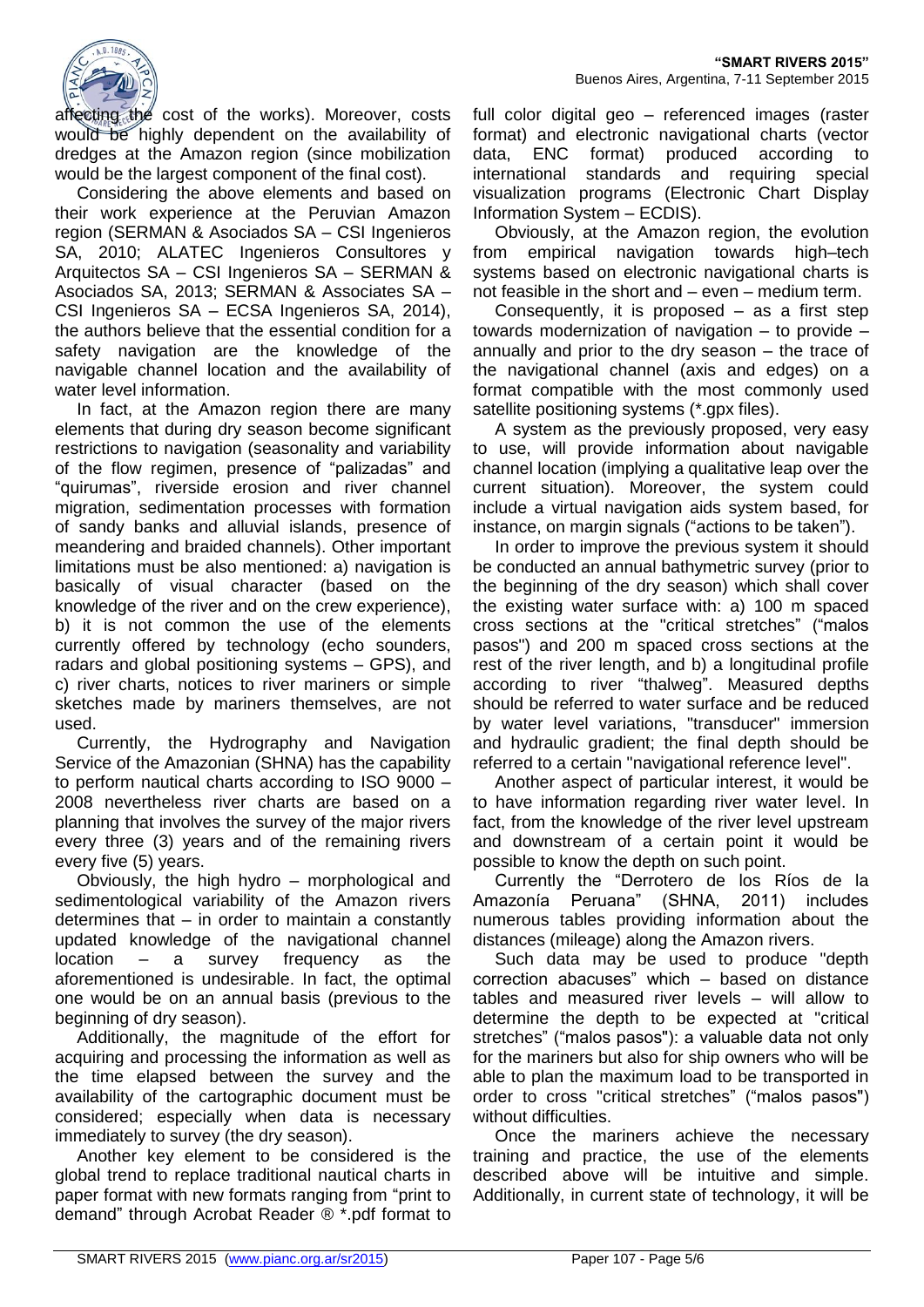

affecting the cost of the works). Moreover, costs would be highly dependent on the availability of dredges at the Amazon region (since mobilization would be the largest component of the final cost).

Considering the above elements and based on their work experience at the Peruvian Amazon region (SERMAN & Asociados SA – CSI Ingenieros SA, 2010; ALATEC Ingenieros Consultores y Arquitectos SA – CSI Ingenieros SA – SERMAN & Asociados SA, 2013; SERMAN & Associates SA – CSI Ingenieros SA – ECSA Ingenieros SA, 2014), the authors believe that the essential condition for a safety navigation are the knowledge of the navigable channel location and the availability of water level information.

In fact, at the Amazon region there are many elements that during dry season become significant restrictions to navigation (seasonality and variability of the flow regimen, presence of "palizadas" and "quirumas", riverside erosion and river channel migration, sedimentation processes with formation of sandy banks and alluvial islands, presence of meandering and braided channels). Other important limitations must be also mentioned: a) navigation is basically of visual character (based on the knowledge of the river and on the crew experience), b) it is not common the use of the elements currently offered by technology (echo sounders, radars and global positioning systems – GPS), and c) river charts, notices to river mariners or simple sketches made by mariners themselves, are not used.

Currently, the Hydrography and Navigation Service of the Amazonian (SHNA) has the capability to perform nautical charts according to ISO 9000 – 2008 nevertheless river charts are based on a planning that involves the survey of the major rivers every three (3) years and of the remaining rivers every five (5) years.

Obviously, the high hydro – morphological and sedimentological variability of the Amazon rivers determines that – in order to maintain a constantly updated knowledge of the navigational channel location – a survey frequency as the aforementioned is undesirable. In fact, the optimal one would be on an annual basis (previous to the beginning of dry season).

Additionally, the magnitude of the effort for acquiring and processing the information as well as the time elapsed between the survey and the availability of the cartographic document must be considered; especially when data is necessary immediately to survey (the dry season).

Another key element to be considered is the global trend to replace traditional nautical charts in paper format with new formats ranging from "print to demand" through Acrobat Reader ® \*.pdf format to

full color digital geo – referenced images (raster format) and electronic navigational charts (vector data, ENC format) produced according to international standards and requiring special visualization programs (Electronic Chart Display Information System – ECDIS).

Obviously, at the Amazon region, the evolution from empirical navigation towards high–tech systems based on electronic navigational charts is not feasible in the short and – even – medium term.

Consequently, it is proposed – as a first step towards modernization of navigation – to provide – annually and prior to the dry season – the trace of the navigational channel (axis and edges) on a format compatible with the most commonly used satellite positioning systems (\*.gpx files).

A system as the previously proposed, very easy to use, will provide information about navigable channel location (implying a qualitative leap over the current situation). Moreover, the system could include a virtual navigation aids system based, for instance, on margin signals ("actions to be taken").

In order to improve the previous system it should be conducted an annual bathymetric survey (prior to the beginning of the dry season) which shall cover the existing water surface with: a) 100 m spaced cross sections at the "critical stretches" ("malos pasos") and 200 m spaced cross sections at the rest of the river length, and b) a longitudinal profile according to river "thalweg". Measured depths should be referred to water surface and be reduced by water level variations, "transducer" immersion and hydraulic gradient; the final depth should be referred to a certain "navigational reference level".

Another aspect of particular interest, it would be to have information regarding river water level. In fact, from the knowledge of the river level upstream and downstream of a certain point it would be possible to know the depth on such point.

Currently the "Derrotero de los Ríos de la Amazonía Peruana" (SHNA, 2011) includes numerous tables providing information about the distances (mileage) along the Amazon rivers.

Such data may be used to produce "depth correction abacuses" which – based on distance tables and measured river levels – will allow to determine the depth to be expected at "critical stretches" ("malos pasos"): a valuable data not only for the mariners but also for ship owners who will be able to plan the maximum load to be transported in order to cross "critical stretches" ("malos pasos") without difficulties.

Once the mariners achieve the necessary training and practice, the use of the elements described above will be intuitive and simple. Additionally, in current state of technology, it will be